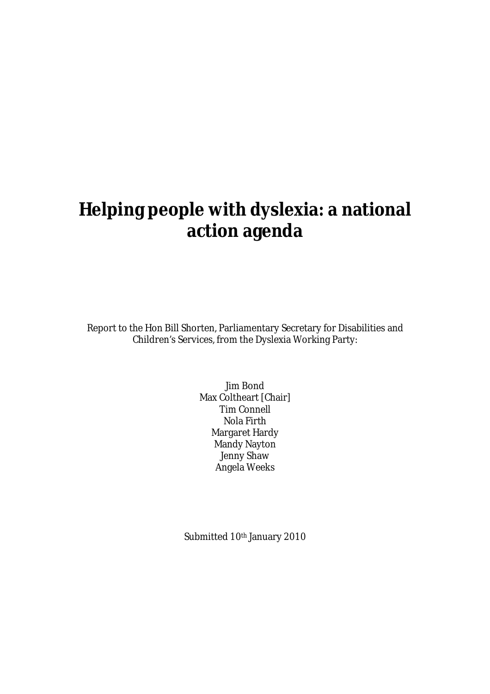# **Helping people with dyslexia: a national action agenda**

Report to the Hon Bill Shorten, Parliamentary Secretary for Disabilities and Children's Services, from the Dyslexia Working Party:

> Jim Bond Max Coltheart [Chair] Tim Connell Nola Firth Margaret Hardy Mandy Nayton Jenny Shaw Angela Weeks

Submitted 10<sup>th</sup> January 2010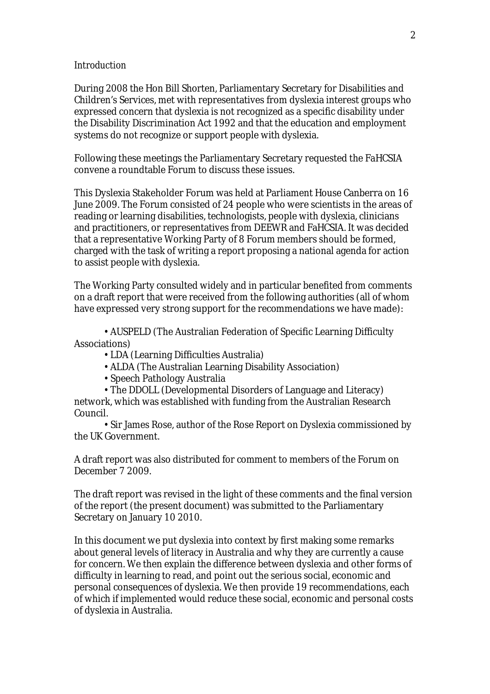#### *Introduction*

During 2008 the Hon Bill Shorten, Parliamentary Secretary for Disabilities and Children's Services, met with representatives from dyslexia interest groups who expressed concern that dyslexia is not recognized as a specific disability under the Disability Discrimination Act 1992 and that the education and employment systems do not recognize or support people with dyslexia.

Following these meetings the Parliamentary Secretary requested the FaHCSIA convene a roundtable Forum to discuss these issues.

This Dyslexia Stakeholder Forum was held at Parliament House Canberra on 16 June 2009. The Forum consisted of 24 people who were scientists in the areas of reading or learning disabilities, technologists, people with dyslexia, clinicians and practitioners, or representatives from DEEWR and FaHCSIA. It was decided that a representative Working Party of 8 Forum members should be formed, charged with the task of writing a report proposing a national agenda for action to assist people with dyslexia.

The Working Party consulted widely and in particular benefited from comments on a draft report that were received from the following authorities (all of whom have expressed very strong support for the recommendations we have made):

• AUSPELD (The Australian Federation of Specific Learning Difficulty Associations)

- LDA (Learning Difficulties Australia)
- ALDA (The Australian Learning Disability Association)
- Speech Pathology Australia

• The DDOLL (Developmental Disorders of Language and Literacy) network, which was established with funding from the Australian Research Council.

• Sir James Rose, author of the Rose Report on Dyslexia commissioned by the UK Government.

A draft report was also distributed for comment to members of the Forum on December 7 2009.

The draft report was revised in the light of these comments and the final version of the report (the present document) was submitted to the Parliamentary Secretary on January 10 2010.

In this document we put dyslexia into context by first making some remarks about general levels of literacy in Australia and why they are currently a cause for concern. We then explain the difference between dyslexia and other forms of difficulty in learning to read, and point out the serious social, economic and personal consequences of dyslexia. We then provide 19 recommendations, each of which if implemented would reduce these social, economic and personal costs of dyslexia in Australia.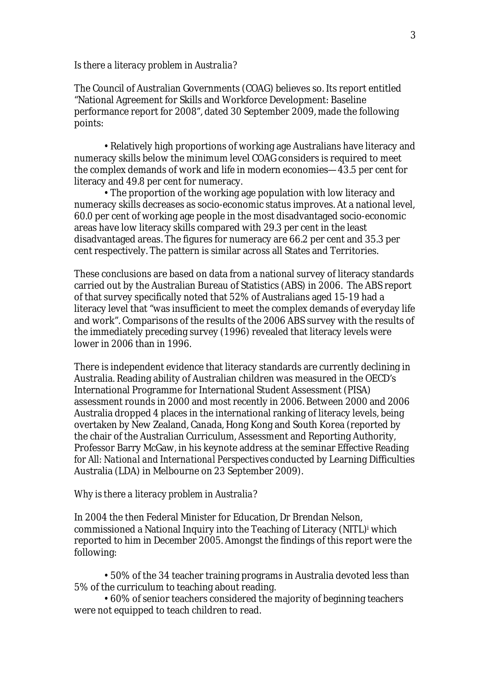#### *Is there a literacy problem in Australia?*

The Council of Australian Governments (COAG) believes so. Its report entitled "National Agreement for Skills and Workforce Development: Baseline performance report for 2008", dated 30 September 2009, made the following points:

• Relatively high proportions of working age Australians have literacy and numeracy skills below the minimum level COAG considers is required to meet the complex demands of work and life in modern economies—43.5 per cent for literacy and 49.8 per cent for numeracy.

• The proportion of the working age population with low literacy and numeracy skills decreases as socio-economic status improves. At a national level, 60.0 per cent of working age people in the most disadvantaged socio-economic areas have low literacy skills compared with 29.3 per cent in the least disadvantaged areas. The figures for numeracy are 66.2 per cent and 35.3 per cent respectively. The pattern is similar across all States and Territories.

These conclusions are based on data from a national survey of literacy standards carried out by the Australian Bureau of Statistics (ABS) in 2006. The ABS report of that survey specifically noted that 52% of Australians aged 15-19 had a literacy level that "was insufficient to meet the complex demands of everyday life and work". Comparisons of the results of the 2006 ABS survey with the results of the immediately preceding survey (1996) revealed that literacy levels were lower in 2006 than in 1996.

There is independent evidence that literacy standards are currently declining in Australia. Reading ability of Australian children was measured in the OECD's International Programme for International Student Assessment (PISA) assessment rounds in 2000 and most recently in 2006. Between 2000 and 2006 Australia dropped 4 places in the international ranking of literacy levels, being overtaken by New Zealand, Canada, Hong Kong and South Korea (reported by the chair of the Australian Curriculum, Assessment and Reporting Authority, Professor Barry McGaw, in his keynote address at the seminar *Effective Reading for All: National and International Perspectives* conducted by Learning Difficulties Australia (LDA) in Melbourne on 23 September 2009).

#### *Why is there a literacy problem in Australia?*

In 2004 the then Federal Minister for Education, Dr Brendan Nelson, commissioned a National Inquiry into the Teaching of Literacy (NITL)<sup>†</sup> which reported to him in December 2005. Amongst the findings of this report were the following:

• 50% of the 34 teacher training programs in Australia devoted less than 5% of the curriculum to teaching about reading.

• 60% of senior teachers considered the majority of beginning teachers were not equipped to teach children to read.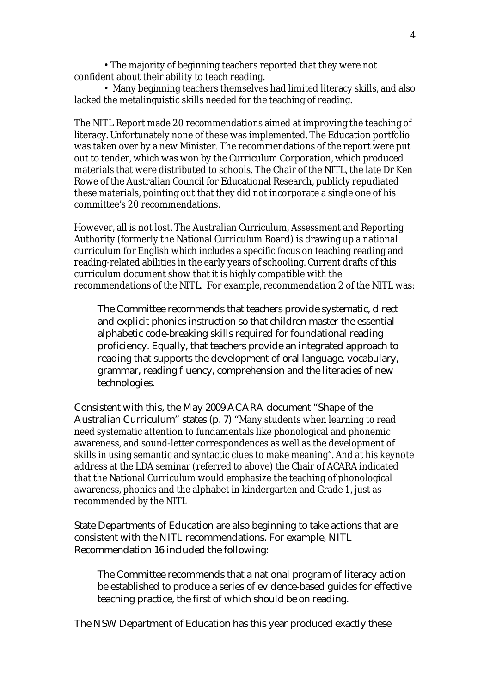• The majority of beginning teachers reported that they were not confident about their ability to teach reading.

• Many beginning teachers themselves had limited literacy skills, and also lacked the metalinguistic skills needed for the teaching of reading.

The NITL Report made 20 recommendations aimed at improving the teaching of literacy. Unfortunately none of these was implemented. The Education portfolio was taken over by a new Minister. The recommendations of the report were put out to tender, which was won by the Curriculum Corporation, which produced materials that were distributed to schools. The Chair of the NITL, the late Dr Ken Rowe of the Australian Council for Educational Research, publicly repudiated these materials, pointing out that they did not incorporate a single one of his committee's 20 recommendations.

However, all is not lost. The Australian Curriculum, Assessment and Reporting Authority (formerly the National Curriculum Board) is drawing up a national curriculum for English which includes a specific focus on teaching reading and reading-related abilities in the early years of schooling. Current drafts of this curriculum document show that it is highly compatible with the recommendations of the NITL. For example, recommendation 2 of the NITL was:

The Committee recommends that teachers provide systematic, direct and explicit phonics instruction so that children master the essential alphabetic code-breaking skills required for foundational reading proficiency. Equally, that teachers provide an integrated approach to reading that supports the development of oral language, vocabulary, grammar, reading fluency, comprehension and the literacies of new technologies.

Consistent with this, the May 2009 ACARA document "Shape of the Australian Curriculum" states (p. 7) "Many students when learning to read need systematic attention to fundamentals like phonological and phonemic awareness, and sound-letter correspondences as well as the development of skills in using semantic and syntactic clues to make meaning". And at his keynote address at the LDA seminar (referred to above) the Chair of ACARA indicated that the National Curriculum would emphasize the teaching of phonological awareness, phonics and the alphabet in kindergarten and Grade 1, just as recommended by the NITL

State Departments of Education are also beginning to take actions that are consistent with the NITL recommendations. For example, NITL Recommendation 16 included the following:

The Committee recommends that a national program of literacy action be established to produce a series of evidence-based guides for effective teaching practice, the first of which should be on reading.

The NSW Department of Education has this year produced exactly these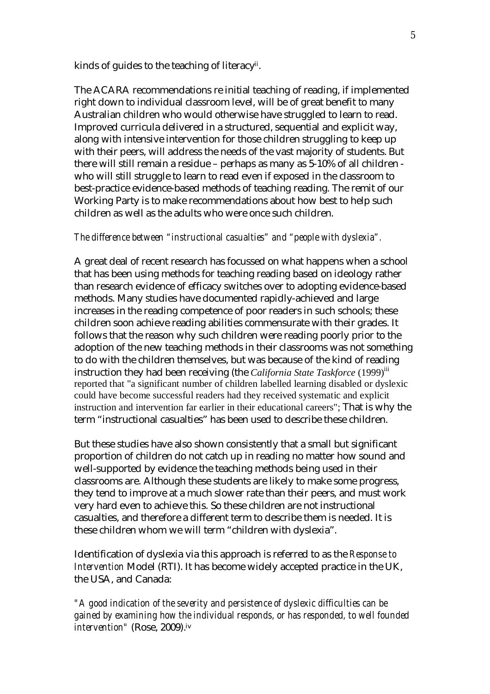kinds of guides to the teaching of literacyii .

The ACARA recommendations re initial teaching of reading, if implemented right down to individual classroom level, will be of great benefit to many Australian children who would otherwise have struggled to learn to read. Improved curricula delivered in a structured, sequential and explicit way, along with intensive intervention for those children struggling to keep up with their peers, will address the needs of the vast majority of students. But there will still remain a residue – perhaps as many as 5-10% of all children who will still struggle to learn to read even if exposed in the classroom to best-practice evidence-based methods of teaching reading. The remit of our Working Party is to make recommendations about how best to help such children as well as the adults who were once such children.

### *The difference between "instructional casualties" and "people with dyslexia".*

A great deal of recent research has focussed on what happens when a school that has been using methods for teaching reading based on ideology rather than research evidence of efficacy switches over to adopting evidence-based methods. Many studies have documented rapidly-achieved and large increases in the reading competence of poor readers in such schools; these children soon achieve reading abilities commensurate with their grades. It follows that the reason why such children were reading poorly prior to the adoption of the new teaching methods in their classrooms was not something to do with the children themselves, but was because of the kind of reading instruction they had been receiving (the *California State Taskforce* (1999)<sup>iii</sup> reported that "a significant number of children labelled learning disabled or dyslexic could have become successful readers had they received systematic and explicit instruction and intervention far earlier in their educational careers"; That is why the term "instructional casualties" has been used to describe these children.

But these studies have also shown consistently that a small but significant proportion of children do not catch up in reading no matter how sound and well-supported by evidence the teaching methods being used in their classrooms are. Although these students are likely to make some progress, they tend to improve at a much slower rate than their peers, and must work very hard even to achieve this. So these children are not instructional casualties, and therefore a different term to describe them is needed. It is these children whom we will term "children with dyslexia".

Identification of dyslexia via this approach is referred to as the *Response to Intervention* Model (RTI). It has become widely accepted practice in the UK, the USA, and Canada:

*"A good indication of the severity and persistence of dyslexic difficulties can be gained by examining how the individual responds, or has responded, to well founded intervention"* (Rose, 2009). iv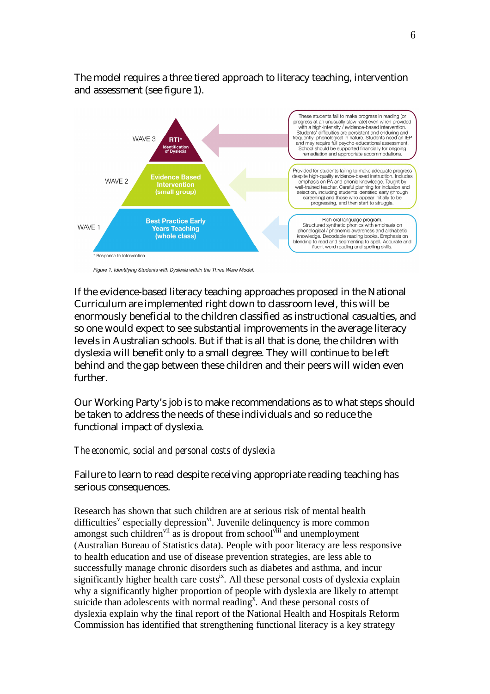

The model requires a three tiered approach to literacy teaching, intervention and assessment (see figure 1).

If the evidence-based literacy teaching approaches proposed in the National Curriculum are implemented right down to classroom level, this will be enormously beneficial to the children classified as instructional casualties, and so one would expect to see substantial improvements in the average literacy levels in Australian schools. But if that is all that is done, the children with dyslexia will benefit only to a small degree. They will continue to be left behind and the gap between these children and their peers will widen even further.

Our Working Party's job is to make recommendations as to what steps should be taken to address the needs of these individuals and so reduce the functional impact of dyslexia.

#### *The economic, social and personal costs of dyslexia*

Failure to learn to read despite receiving appropriate reading teaching has serious consequences.

Research has shown that such children are at serious risk of mental health difficulties<sup>v</sup> especially depression<sup>vi</sup>. Juvenile delinquency is more common amongst such children<sup>vii</sup> as is dropout from school<sup>viii</sup> and unemployment (Australian Bureau of Statistics data). People with poor literacy are less responsive to health education and use of disease prevention strategies, are less able to successfully manage chronic disorders such as diabetes and asthma, and incur significantly higher health care costs<sup>ix</sup>. All these personal costs of dyslexia explain why a significantly higher proportion of people with dyslexia are likely to attempt suicide than adolescents with normal reading<sup>x</sup>. And these personal costs of dyslexia explain why the final report of the National Health and Hospitals Reform Commission has identified that strengthening functional literacy is a key strategy

Figure 1. Identifying Students with Dyslexia within the Three Wave Model.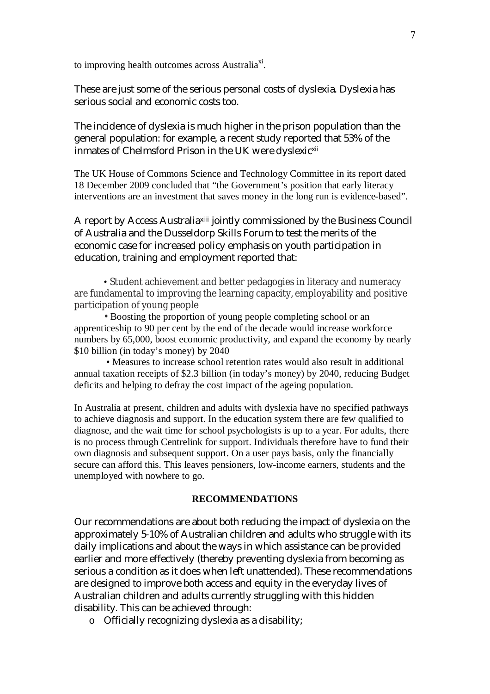to improving health outcomes across Australia<sup>xi</sup>.

These are just some of the serious personal costs of dyslexia. Dyslexia has serious social and economic costs too.

The incidence of dyslexia is much higher in the prison population than the general population: for example, a recent study reported that 53% of the inmates of Chelmsford Prison in the UK were dyslexic<sup>xii</sup>

The UK House of Commons Science and Technology Committee in its report dated 18 December 2009 concluded that "the Government's position that early literacy interventions are an investment that saves money in the long run is evidence-based".

A report by Access Australiaxiii jointly commissioned by the Business Council of Australia and the Dusseldorp Skills Forum to test the merits of the economic case for increased policy emphasis on youth participation in education, training and employment reported that:

• Student achievement and better pedagogies in literacy and numeracy are fundamental to improving the learning capacity, employability and positive participation of young people

• Boosting the proportion of young people completing school or an apprenticeship to 90 per cent by the end of the decade would increase workforce numbers by 65,000, boost economic productivity, and expand the economy by nearly \$10 billion (in today's money) by 2040

 • Measures to increase school retention rates would also result in additional annual taxation receipts of \$2.3 billion (in today's money) by 2040, reducing Budget deficits and helping to defray the cost impact of the ageing population.

In Australia at present, children and adults with dyslexia have no specified pathways to achieve diagnosis and support. In the education system there are few qualified to diagnose, and the wait time for school psychologists is up to a year. For adults, there is no process through Centrelink for support. Individuals therefore have to fund their own diagnosis and subsequent support. On a user pays basis, only the financially secure can afford this. This leaves pensioners, low-income earners, students and the unemployed with nowhere to go.

### **RECOMMENDATIONS**

Our recommendations are about both reducing the impact of dyslexia on the approximately 5-10% of Australian children and adults who struggle with its daily implications and about the ways in which assistance can be provided earlier and more effectively (thereby preventing dyslexia from becoming as serious a condition as it does when left unattended). These recommendations are designed to improve both access and equity in the everyday lives of Australian children and adults currently struggling with this hidden disability. This can be achieved through:

o Officially recognizing dyslexia as a disability;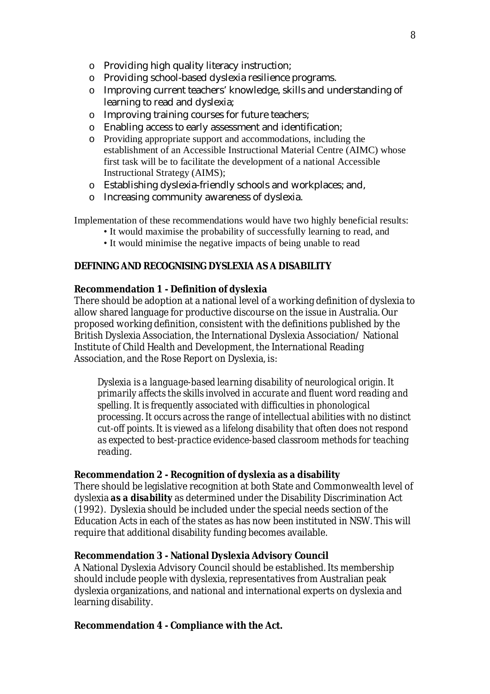- o Providing high quality literacy instruction;
- o Providing school-based dyslexia resilience programs.
- o Improving current teachers' knowledge, skills and understanding of learning to read and dyslexia;
- o Improving training courses for future teachers;
- o Enabling access to early assessment and identification;
- o Providing appropriate support and accommodations, including the establishment of an Accessible Instructional Material Centre (AIMC) whose first task will be to facilitate the development of a national Accessible Instructional Strategy (AIMS);
- o Establishing dyslexia-friendly schools and workplaces; and,
- o Increasing community awareness of dyslexia.

Implementation of these recommendations would have two highly beneficial results:

- It would maximise the probability of successfully learning to read, and
- It would minimise the negative impacts of being unable to read

### **DEFINING AND RECOGNISING DYSLEXIA AS A DISABILITY**

### **Recommendation 1 - Definition of dyslexia**

There should be adoption at a national level of a working definition of dyslexia to allow shared language for productive discourse on the issue in Australia. Our proposed working definition, consistent with the definitions published by the British Dyslexia Association, the International Dyslexia Association/ National Institute of Child Health and Development, the International Reading Association, and the Rose Report on Dyslexia, is:

*Dyslexia is a language-based learning disability of neurological origin. It primarily affects the skills involved in accurate and fluent word reading and spelling. It is frequently associated with difficulties in phonological processing. It occurs across the range of intellectual abilities with no distinct cut-off points. It is viewed as a lifelong disability that often does not respond as expected to best-practice evidence-based classroom methods for teaching reading.*

### **Recommendation 2 - Recognition of dyslexia as a disability**

There should be legislative recognition at both State and Commonwealth level of dyslexia *as a disability* as determined under the Disability Discrimination Act (1992). Dyslexia should be included under the special needs section of the Education Acts in each of the states as has now been instituted in NSW. This will require that additional disability funding becomes available.

### **Recommendation 3 - National Dyslexia Advisory Council**

A National Dyslexia Advisory Council should be established. Its membership should include people with dyslexia, representatives from Australian peak dyslexia organizations, and national and international experts on dyslexia and learning disability.

### **Recommendation 4 - Compliance with the Act.**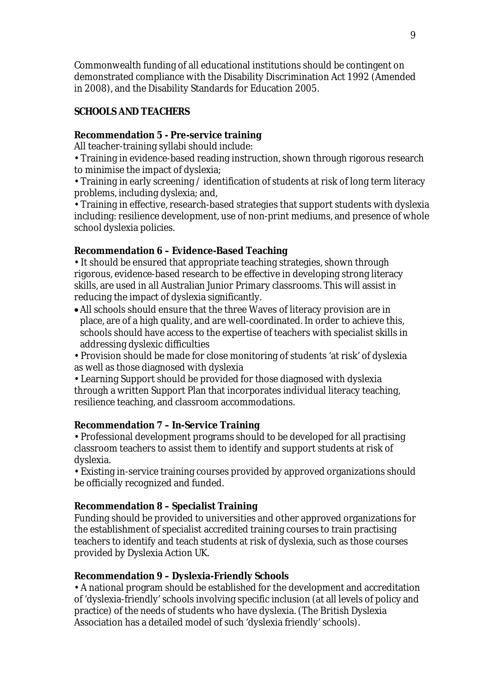Commonwealth funding of all educational institutions should be contingent on demonstrated compliance with the Disability Discrimination Act 1992 (Amended in 2008), and the Disability Standards for Education 2005.

# **SCHOOLS AND TEACHERS**

# **Recommendation 5 - Pre-service training**

All teacher-training syllabi should include:

• Training in evidence-based reading instruction, shown through rigorous research to minimise the impact of dyslexia;

• Training in early screening / identification of students at risk of long term literacy problems, including dyslexia; and,

• Training in effective, research-based strategies that support students with dyslexia including: resilience development, use of non-print mediums, and presence of whole school dyslexia policies.

# **Recommendation 6 – Evidence-Based Teaching**

• It should be ensured that appropriate teaching strategies, shown through rigorous, evidence-based research to be effective in developing strong literacy skills, are used in all Australian Junior Primary classrooms. This will assist in reducing the impact of dyslexia significantly.

- All schools should ensure that the three Waves of literacy provision are in place, are of a high quality, and are well-coordinated. In order to achieve this, schools should have access to the expertise of teachers with specialist skills in addressing dyslexic difficulties
- Provision should be made for close monitoring of students 'at risk' of dyslexia as well as those diagnosed with dyslexia

• Learning Support should be provided for those diagnosed with dyslexia through a written Support Plan that incorporates individual literacy teaching, resilience teaching, and classroom accommodations.

# **Recommendation 7 – In-Service Training**

• Professional development programs should to be developed for all practising classroom teachers to assist them to identify and support students at risk of dyslexia.

• Existing in-service training courses provided by approved organizations should be officially recognized and funded.

# **Recommendation 8 – Specialist Training**

Funding should be provided to universities and other approved organizations for the establishment of specialist accredited training courses to train practising teachers to identify and teach students at risk of dyslexia, such as those courses provided by Dyslexia Action UK.

# **Recommendation 9 – Dyslexia-Friendly Schools**

• A national program should be established for the development and accreditation of 'dyslexia-friendly' schools involving specific inclusion (at all levels of policy and practice) of the needs of students who have dyslexia. (The British Dyslexia Association has a detailed model of such 'dyslexia friendly' schools).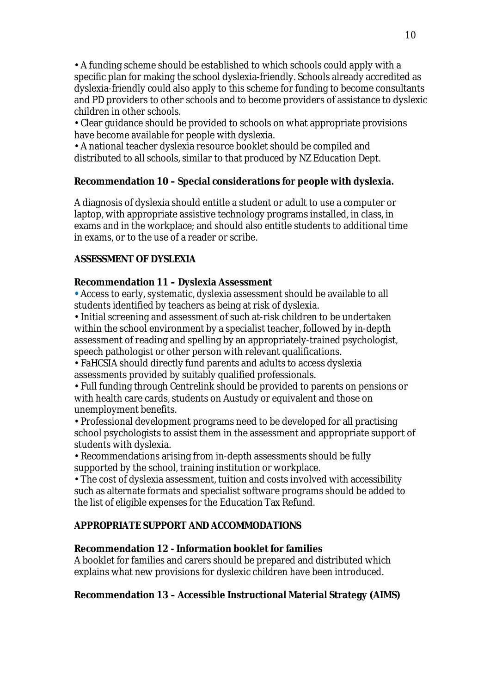• A funding scheme should be established to which schools could apply with a specific plan for making the school dyslexia-friendly. Schools already accredited as dyslexia-friendly could also apply to this scheme for funding to become consultants and PD providers to other schools and to become providers of assistance to dyslexic children in other schools.

• Clear guidance should be provided to schools on what appropriate provisions have become available for people with dyslexia.

• A national teacher dyslexia resource booklet should be compiled and distributed to all schools, similar to that produced by NZ Education Dept.

# **Recommendation 10 – Special considerations for people with dyslexia.**

A diagnosis of dyslexia should entitle a student or adult to use a computer or laptop, with appropriate assistive technology programs installed, in class, in exams and in the workplace; and should also entitle students to additional time in exams, or to the use of a reader or scribe.

# **ASSESSMENT OF DYSLEXIA**

# **Recommendation 11 – Dyslexia Assessment**

*•* Access to early, systematic, dyslexia assessment should be available to all students identified by teachers as being at risk of dyslexia.

• Initial screening and assessment of such at-risk children to be undertaken within the school environment by a specialist teacher, followed by in-depth assessment of reading and spelling by an appropriately-trained psychologist, speech pathologist or other person with relevant qualifications.

• FaHCSIA should directly fund parents and adults to access dyslexia assessments provided by suitably qualified professionals.

• Full funding through Centrelink should be provided to parents on pensions or with health care cards, students on Austudy or equivalent and those on unemployment benefits.

• Professional development programs need to be developed for all practising school psychologists to assist them in the assessment and appropriate support of students with dyslexia.

• Recommendations arising from in-depth assessments should be fully supported by the school, training institution or workplace.

• The cost of dyslexia assessment, tuition and costs involved with accessibility such as alternate formats and specialist software programs should be added to the list of eligible expenses for the Education Tax Refund.

# **APPROPRIATE SUPPORT AND ACCOMMODATIONS**

# **Recommendation 12 - Information booklet for families**

A booklet for families and carers should be prepared and distributed which explains what new provisions for dyslexic children have been introduced.

# **Recommendation 13 – Accessible Instructional Material Strategy (AIMS)**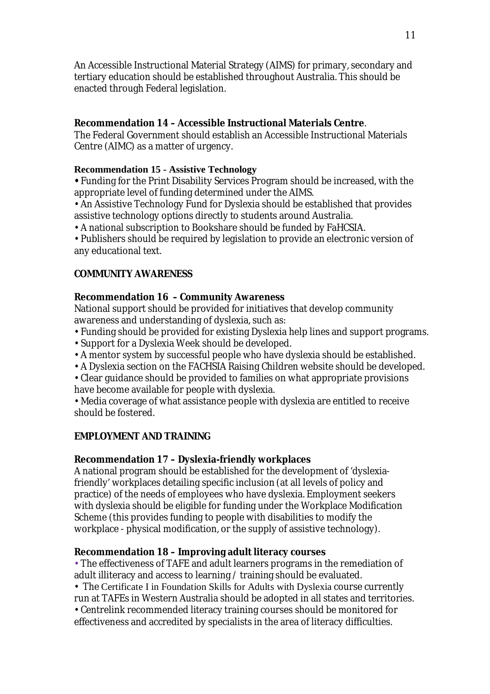An Accessible Instructional Material Strategy (AIMS) for primary, secondary and tertiary education should be established throughout Australia. This should be enacted through Federal legislation.

### **Recommendation 14 – Accessible Instructional Materials Centre**.

The Federal Government should establish an Accessible Instructional Materials Centre (AIMC) as a matter of urgency.

### **Recommendation 15 - Assistive Technology**

**•** Funding for the Print Disability Services Program should be increased, with the appropriate level of funding determined under the AIMS.

• An Assistive Technology Fund for Dyslexia should be established that provides assistive technology options directly to students around Australia.

• A national subscription to Bookshare should be funded by FaHCSIA.

• Publishers should be required by legislation to provide an electronic version of any educational text.

# **COMMUNITY AWARENESS**

# **Recommendation 16 – Community Awareness**

National support should be provided for initiatives that develop community awareness and understanding of dyslexia, such as:

- Funding should be provided for existing Dyslexia help lines and support programs.
- Support for a Dyslexia Week should be developed.
- A mentor system by successful people who have dyslexia should be established.
- A Dyslexia section on the FACHSIA Raising Children website should be developed.
- Clear guidance should be provided to families on what appropriate provisions have become available for people with dyslexia.

• Media coverage of what assistance people with dyslexia are entitled to receive should be fostered.

# **EMPLOYMENT AND TRAINING**

# **Recommendation 17 – Dyslexia-friendly workplaces**

A national program should be established for the development of 'dyslexiafriendly' workplaces detailing specific inclusion (at all levels of policy and practice) of the needs of employees who have dyslexia. Employment seekers with dyslexia should be eligible for funding under the Workplace Modification Scheme (this provides funding to people with disabilities to modify the workplace - physical modification, or the supply of assistive technology).

# **Recommendation 18 – Improving adult literacy courses**

• The effectiveness of TAFE and adult learners programs in the remediation of adult illiteracy and access to learning / training should be evaluated.

• The Certificate I in Foundation Skills for Adults with Dyslexia course currently run at TAFEs in Western Australia should be adopted in all states and territories.

• Centrelink recommended literacy training courses should be monitored for effectiveness and accredited by specialists in the area of literacy difficulties.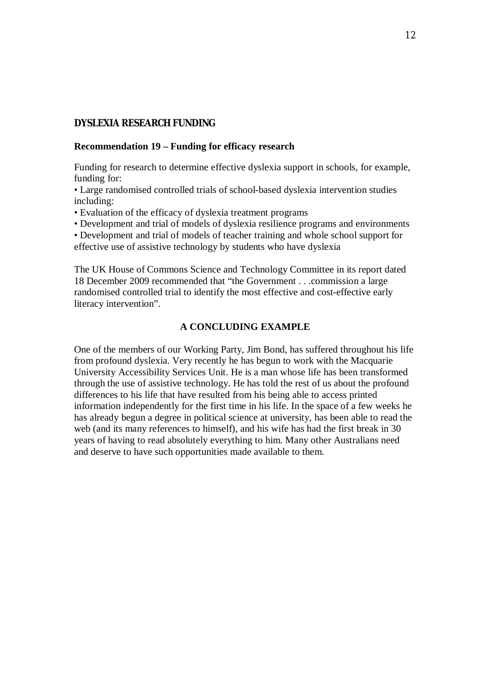### **DYSLEXIA RESEARCH FUNDING**

#### **Recommendation 19 – Funding for efficacy research**

Funding for research to determine effective dyslexia support in schools, for example, funding for:

• Large randomised controlled trials of school-based dyslexia intervention studies including:

• Evaluation of the efficacy of dyslexia treatment programs

• Development and trial of models of dyslexia resilience programs and environments

• Development and trial of models of teacher training and whole school support for effective use of assistive technology by students who have dyslexia

The UK House of Commons Science and Technology Committee in its report dated 18 December 2009 recommended that "the Government . . .commission a large randomised controlled trial to identify the most effective and cost-effective early literacy intervention".

#### **A CONCLUDING EXAMPLE**

One of the members of our Working Party, Jim Bond, has suffered throughout his life from profound dyslexia. Very recently he has begun to work with the Macquarie University Accessibility Services Unit. He is a man whose life has been transformed through the use of assistive technology. He has told the rest of us about the profound differences to his life that have resulted from his being able to access printed information independently for the first time in his life. In the space of a few weeks he has already begun a degree in political science at university, has been able to read the web (and its many references to himself), and his wife has had the first break in 30 years of having to read absolutely everything to him. Many other Australians need and deserve to have such opportunities made available to them.